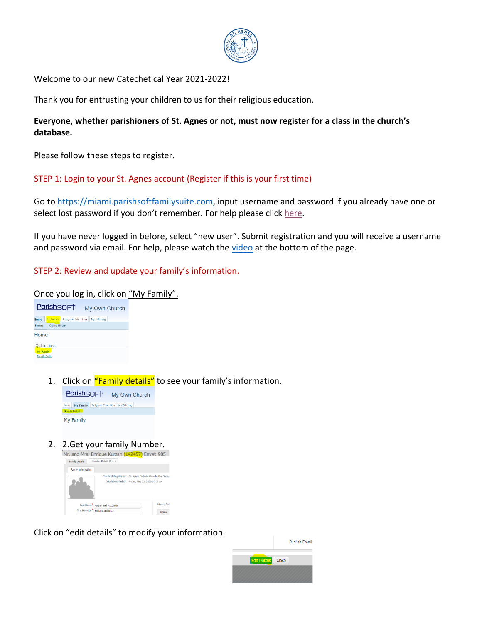

Welcome to our new Catechetical Year 2021-2022!

Thank you for entrusting your children to us for their religious education.

# **Everyone, whether parishioners of St. Agnes or not, must now register for a class in the church's database.**

Please follow these steps to register.

# STEP 1: Login to your St. Agnes account (Register if this is your first time)

Go to [https://miami.parishsoftfamilysuite.com,](https://miami.parishsoftfamilysuite.com/) input username and password if you already have one or select lost password if you don't remember. For help please click [here.](http://www.stakb.org/church/CatholicChurch.php?op=Login)

If you have never logged in before, select "new user". Submit registration and you will receive a username and password via email. For help, please watch the [video](http://www.stakb.org/church/CatholicChurch.php?op=Become_a_Parishioner) at the bottom of the page.

STEP 2: Review and update your family's information.

Once you log in, click on "My Family".



1. Click on "Family details" to see your family's information.



2. 2. Get your family Number.<br>Mr. and Mrs. Enrique Kurzan  $(142457)$  Env#: 905



Click on "edit details" to modify your information.

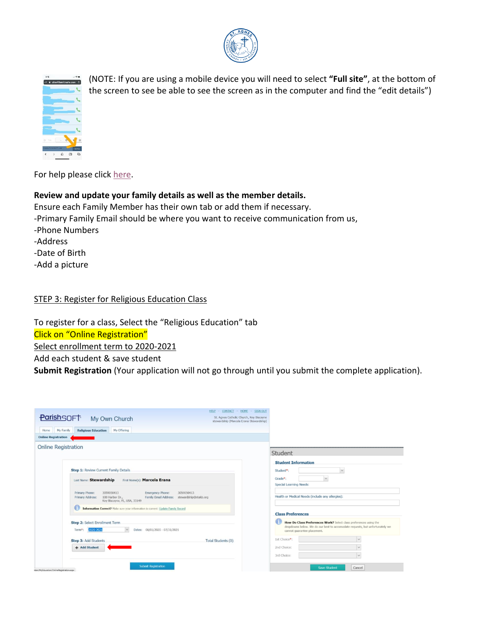



(NOTE: If you are using a mobile device you will need to select **"Full site"**, at the bottom of the screen to see be able to see the screen as in the computer and find the "edit details")

For help please click [here.](http://www.stakb.org/church/CatholicChurch.php?op=Login)

# **Review and update your family details as well as the member details.**

Ensure each Family Member has their own tab or add them if necessary. -Primary Family Email should be where you want to receive communication from us, -Phone Numbers -Address -Date of Birth -Add a picture

### STEP 3: Register for Religious Education Class

To register for a class, Select the "Religious Education" tab Click on "Online Registration" Select enrollment term to 2020-2021 Add each student & save student **Submit Registration** (Your application will not go through until you submit the complete application).

|                                                                                                                                                                                      | HELP - CONTACT - HOME - SIGN OUT                                                   |                                                                                                                                                                                  |
|--------------------------------------------------------------------------------------------------------------------------------------------------------------------------------------|------------------------------------------------------------------------------------|----------------------------------------------------------------------------------------------------------------------------------------------------------------------------------|
| <b>ParishSOFT</b><br>My Own Church                                                                                                                                                   | St. Agnes Catholic Church, Key Biscayne<br>stewardship (Marcela Erana Stewardship) |                                                                                                                                                                                  |
| <b>Religious Education</b><br>My Offering<br>My Family<br>Home                                                                                                                       |                                                                                    |                                                                                                                                                                                  |
| <b>Online Registration</b>                                                                                                                                                           |                                                                                    |                                                                                                                                                                                  |
| <b>Online Registration</b>                                                                                                                                                           |                                                                                    | Student                                                                                                                                                                          |
|                                                                                                                                                                                      |                                                                                    | <b>Student Information</b>                                                                                                                                                       |
| <b>Step 1: Review Current Family Details</b>                                                                                                                                         |                                                                                    | $\checkmark$<br>Student <sup>*</sup> :                                                                                                                                           |
| Last Name: Stewardship<br>First Name(s): Marcela Erana                                                                                                                               |                                                                                    | $\sim$<br>Grade*:<br>Special Learning Needs:                                                                                                                                     |
| Primary Phone:<br>3059050413<br>Emergency Phone:<br>3059050413<br>Family Email Address: stewardship@stakb.org<br>Primary Address:<br>100 Harbor Dr.,<br>Key Biscayne, FL, USA, 33149 |                                                                                    | Health or Medical Needs (include any allergies):                                                                                                                                 |
| Œ<br>Information Correct? Make sure your information is current: Update Family Record                                                                                                |                                                                                    | <b>Class Preferences</b>                                                                                                                                                         |
| Step 2: Select Enrollment Term<br>2020-2021<br>$\sim$<br>Dates: 08/01/2020 - 07/31/2021<br>Term <sup>*</sup> :                                                                       |                                                                                    | How Do Class Preferences Work? Select class preferences using the<br>dropdowns below. We do our best to accomodate requests, but unfortunately we<br>cannot guarantee placement. |
| Step 3: Add Students                                                                                                                                                                 | Total Students (0)                                                                 | 1st Choice*:<br>$\checkmark$                                                                                                                                                     |
| + Add Student                                                                                                                                                                        |                                                                                    | 2nd Choice:                                                                                                                                                                      |
|                                                                                                                                                                                      |                                                                                    | 3rd Choice:                                                                                                                                                                      |
| <b>Submit Registration</b><br>vose.noitevtzion@anilnOvacitetublyMhadm                                                                                                                |                                                                                    | Cancel<br><b>Save Student</b>                                                                                                                                                    |